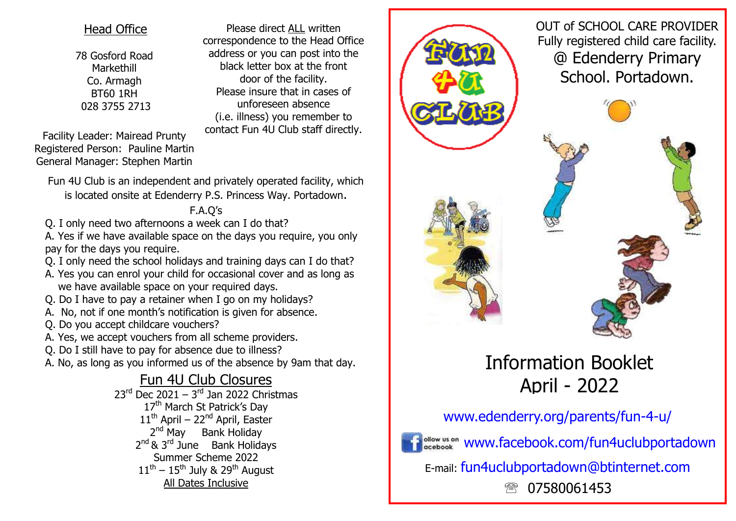### Head Office

78 Gosford Road Markethill Co. Armagh BT60 1RH 028 3755 2713

Please direct ALL written correspondence to the Head Office address or you can post into the black letter box at the front door of the facility. Please insure that in cases of unforeseen absence (i.e. illness) you remember to contact Fun 4U Club staff directly.

Facility Leader: Mairead Prunty Registered Person: Pauline Martin General Manager: Stephen Martin

Fun 4U Club is an independent and privately operated facility, which is located onsite at Edenderry P.S. Princess Way. Portadown.

## F.A.Q's

Q. I only need two afternoons a week can I do that?

A. Yes if we have available space on the days you require, you only pay for the days you require.

- Q. I only need the school holidays and training days can I do that?
- A. Yes you can enrol your child for occasional cover and as long as we have available space on your required days.
- Q. Do I have to pay a retainer when I go on my holidays?
- A. No, not if one month's notification is given for absence.
- Q. Do you accept childcare vouchers?
- A. Yes, we accept vouchers from all scheme providers.
- Q. Do I still have to pay for absence due to illness?

A. No, as long as you informed us of the absence by 9am that day.

Fun 4U Club Closures 23<sup>rd</sup> Dec 2021 – 3<sup>rd</sup> Jan 2022 Christmas 17<sup>th</sup> March St Patrick's Dav  $11<sup>th</sup>$  April – 22<sup>nd</sup> April, Easter 2<sup>nd</sup> May Bank Holiday 2<sup>nd</sup> & 3<sup>rd</sup> June Bank Holidays Summer Scheme 2022  $11<sup>th</sup> - 15<sup>th</sup>$  July & 29<sup>th</sup> August All Dates Inclusive



OUT of SCHOOL CARE PROVIDER Fully registered child care facility. @ Edenderry Primary School. Portadown.

# Information Booklet April - 2022

## www.edenderry.org/parents/fun-4-u/



www.facebook.com/fun4uclubportadown

E-mail: fun4uclubportadown@btinternet.com

07580061453